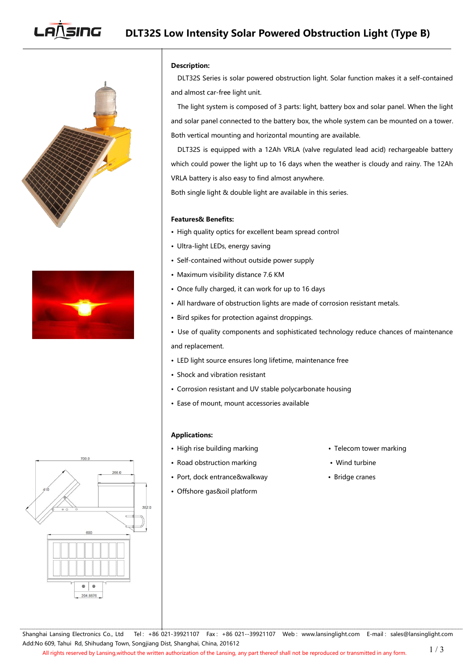# **DLT32S** Low Intensity Solar Powered Obstruction Light (Type B)





## **Description:**

DLT32S Series is solar powered obstruction light. Solar function makes it a self-contained and almost car-free light unit.

The light system is composed of 3 parts: light, battery box and solar panel. When the light and solar panel connected to the battery box, the whole system can be mounted on a tower. Both vertical mounting and horizontal mounting are available.

DLT32S is equipped with a 12Ah VRLA (valve regulated lead acid) rechargeable battery which could power the light up to 16 days when the weather is cloudy and rainy. The 12Ah VRLA battery is also easy to find almost anywhere.

Both single light & double light are available in this series.

## **Features& Benefits:**

- High quality optics for excellent beam spread control
- Ultra-light LEDs, energy saving
- Self-contained without outside power supply
- Maximum visibility distance 7.6 KM
- Once fully charged, it can work for up to 16 days
- All hardware of obstruction lights are made of corrosion resistant metals.
- Bird spikes for protection against droppings.
- Use of quality components and sophisticated technology reduce chances of maintenance and replacement.
- LED light source ensures long lifetime, maintenance free
- Shock and vibration resistant
- Corrosion resistant and UV stable polycarbonate housing
- Ease of mount, mount accessories available

#### **Applications:**

- High rise building marking values are very self-on tower marking
- Road obstruction marking **•** Wind turbine
- Port, dock entrance&walkway Bridge cranes
- Offshore gas&oil platform
- 
- 
- 



Shanghai Lansing Electronics Co., Ltd Tel: +86 021-39921107 Fax: +86 021--39921107 Web: [www.lansinglight.com](http://www.nanhua.com) E-mail: [sales@lansinglight.com](mailto:sales@nanhua.com) Add:No 609, Tahui Rd, Shihudang Town, Songjiang Dist, Shanghai, China, 201612 1 / 3

All rights reserved by Lansing,without the written authorization of the Lansing, any part thereof shall not be reproduced or transmitted in any form.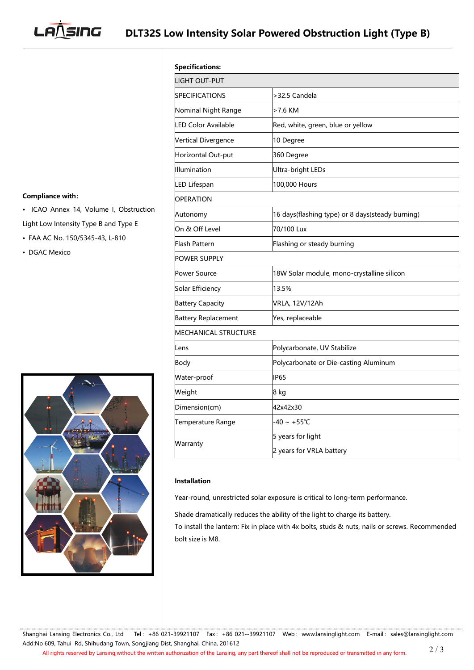**LANSING** 

| <b>Compliance with:</b> |  |
|-------------------------|--|

- ICAO Annex 14, Volume I, Obstruction Light Low Intensity Type B and Type E
- FAA AC No. 150/5345-43, L-810
- DGAC Mexico



| <b>Specifications:</b>      |                                                  |
|-----------------------------|--------------------------------------------------|
| LIGHT OUT-PUT               |                                                  |
| <b>SPECIFICATIONS</b>       | >32.5 Candela                                    |
| Nominal Night Range         | >7.6 KM                                          |
| <b>LED Color Available</b>  | Red, white, green, blue or yellow                |
| Vertical Divergence         | 10 Degree                                        |
| Horizontal Out-put          | 360 Degree                                       |
| Illumination                | <b>Ultra-bright LEDs</b>                         |
| LED Lifespan                | 100,000 Hours                                    |
| OPERATION                   |                                                  |
| Autonomy                    | 16 days(flashing type) or 8 days(steady burning) |
| On & Off Level              | 70/100 Lux                                       |
| Flash Pattern               | Flashing or steady burning                       |
| POWER SUPPLY                |                                                  |
| <b>Power Source</b>         | 18W Solar module, mono-crystalline silicon       |
| Solar Efficiency            | 13.5%                                            |
| <b>Battery Capacity</b>     | VRLA, 12V/12Ah                                   |
| <b>Battery Replacement</b>  | Yes, replaceable                                 |
| <b>MECHANICAL STRUCTURE</b> |                                                  |
| Lens                        | Polycarbonate, UV Stabilize                      |
| Body                        | Polycarbonate or Die-casting Aluminum            |
| Water-proof                 | <b>IP65</b>                                      |
| Weight                      | 8 kg                                             |
| Dimension(cm)               | 42x42x30                                         |
| Temperature Range           | $-40 \sim +55^{\circ}C$                          |
| Warranty                    | 5 years for light                                |
|                             | 2 years for VRLA battery                         |
|                             |                                                  |

# **Installation**

Year-round, unrestricted solar exposure is critical to long-term performance.

Shade dramatically reduces the ability of the light to charge its battery.

To install the lantern: Fix in place with 4x bolts, studs & nuts, nails or screws. Recommended bolt size is M8.